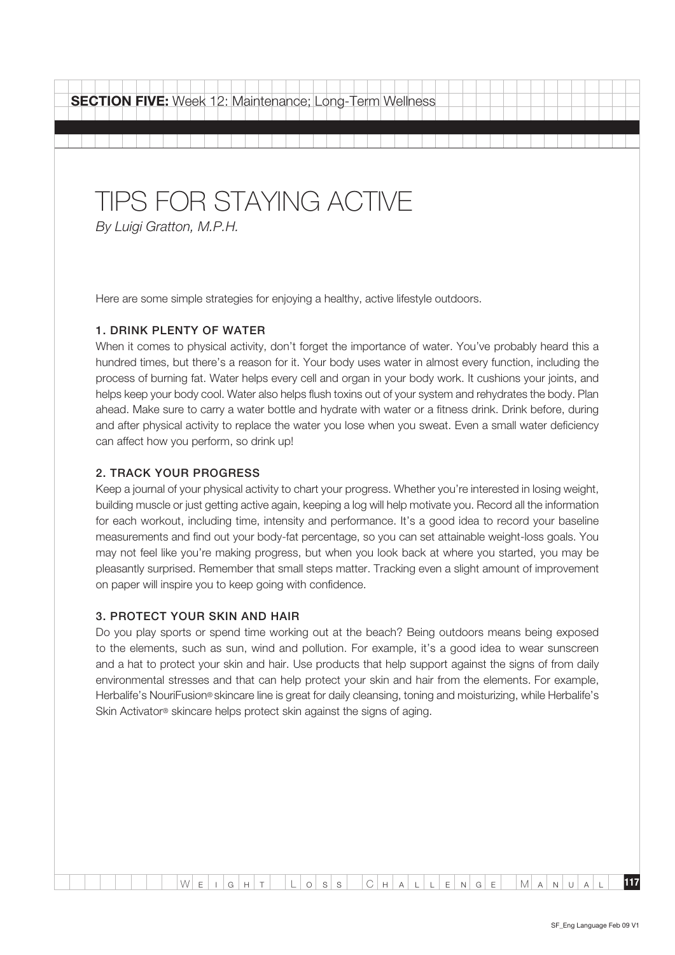| <b>SECTION FIVE:</b> Week 12: Maintenance; Long-Term Wellness |                                                     |  |  |  |  |  |  |  |  |  |
|---------------------------------------------------------------|-----------------------------------------------------|--|--|--|--|--|--|--|--|--|
|                                                               |                                                     |  |  |  |  |  |  |  |  |  |
|                                                               | TIPS FOR STAYING ACTIVE<br>By Luigi Gratton, M.P.H. |  |  |  |  |  |  |  |  |  |

Here are some simple strategies for enjoying a healthy, active lifestyle outdoors.

#### 1. Drink plenty of water

When it comes to physical activity, don't forget the importance of water. You've probably heard this a hundred times, but there's a reason for it. Your body uses water in almost every function, including the process of burning fat. Water helps every cell and organ in your body work. It cushions your joints, and helps keep your body cool. Water also helps flush toxins out of your system and rehydrates the body. Plan ahead. Make sure to carry a water bottle and hydrate with water or a fitness drink. Drink before, during and after physical activity to replace the water you lose when you sweat. Even a small water deficiency can affect how you perform, so drink up!

#### 2. Track your progress

Keep a journal of your physical activity to chart your progress. Whether you're interested in losing weight, building muscle or just getting active again, keeping a log will help motivate you. Record all the information for each workout, including time, intensity and performance. It's a good idea to record your baseline measurements and find out your body-fat percentage, so you can set attainable weight-loss goals. You may not feel like you're making progress, but when you look back at where you started, you may be pleasantly surprised. Remember that small steps matter. Tracking even a slight amount of improvement on paper will inspire you to keep going with confidence.

#### 3. Protect your skin and hair

Do you play sports or spend time working out at the beach? Being outdoors means being exposed to the elements, such as sun, wind and pollution. For example, it's a good idea to wear sunscreen and a hat to protect your skin and hair. Use products that help support against the signs of from daily environmental stresses and that can help protect your skin and hair from the elements. For example, Herbalife's NouriFusion® skincare line is great for daily cleansing, toning and moisturizing, while Herbalife's Skin Activator® skincare helps protect skin against the signs of aging.

 $W$  e i g h t L o s s C h a l l e N g e M a N U a l **117**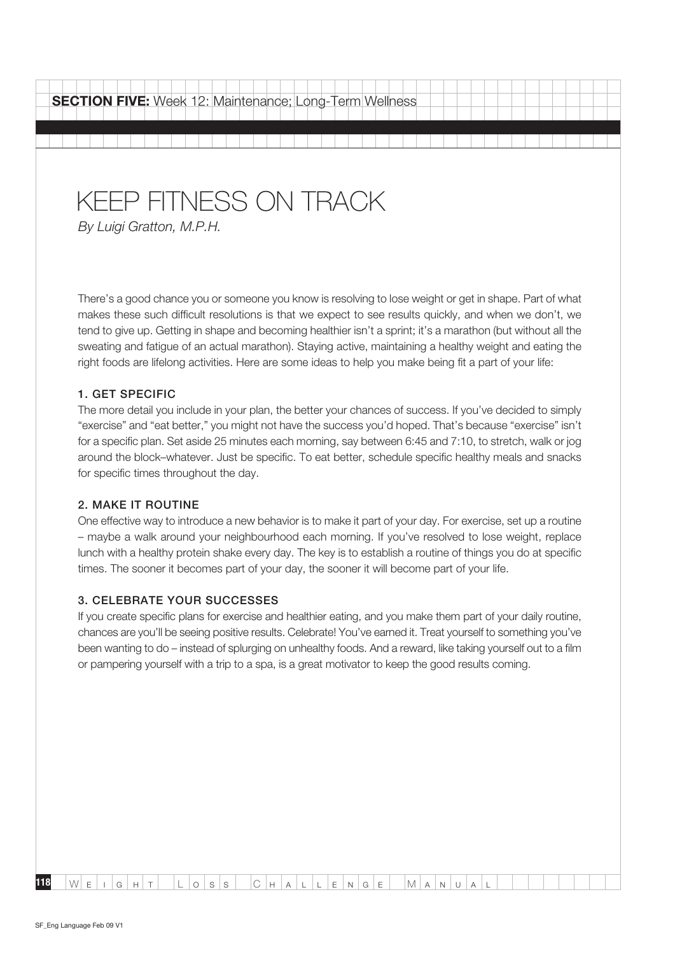### KEEP FITNESS ON TRACK

By Luigi Gratton, M.P.H.

There's a good chance you or someone you know is resolving to lose weight or get in shape. Part of what makes these such difficult resolutions is that we expect to see results quickly, and when we don't, we tend to give up. Getting in shape and becoming healthier isn't a sprint; it's a marathon (but without all the sweating and fatigue of an actual marathon). Staying active, maintaining a healthy weight and eating the right foods are lifelong activities. Here are some ideas to help you make being fit a part of your life:

#### 1. Get specific

The more detail you include in your plan, the better your chances of success. If you've decided to simply "exercise" and "eat better," you might not have the success you'd hoped. That's because "exercise" isn't for a specific plan. Set aside 25 minutes each morning, say between 6:45 and 7:10, to stretch, walk or jog around the block–whatever. Just be specific. To eat better, schedule specific healthy meals and snacks for specific times throughout the day.

#### 2. Make it routine

One effective way to introduce a new behavior is to make it part of your day. For exercise, set up a routine – maybe a walk around your neighbourhood each morning. If you've resolved to lose weight, replace lunch with a healthy protein shake every day. The key is to establish a routine of things you do at specific times. The sooner it becomes part of your day, the sooner it will become part of your life.

#### 3. Celebrate your successes

If you create specific plans for exercise and healthier eating, and you make them part of your daily routine, chances are you'll be seeing positive results. Celebrate! You've earned it. Treat yourself to something you've been wanting to do – instead of splurging on unhealthy foods. And a reward, like taking yourself out to a film or pampering yourself with a trip to a spa, is a great motivator to keep the good results coming.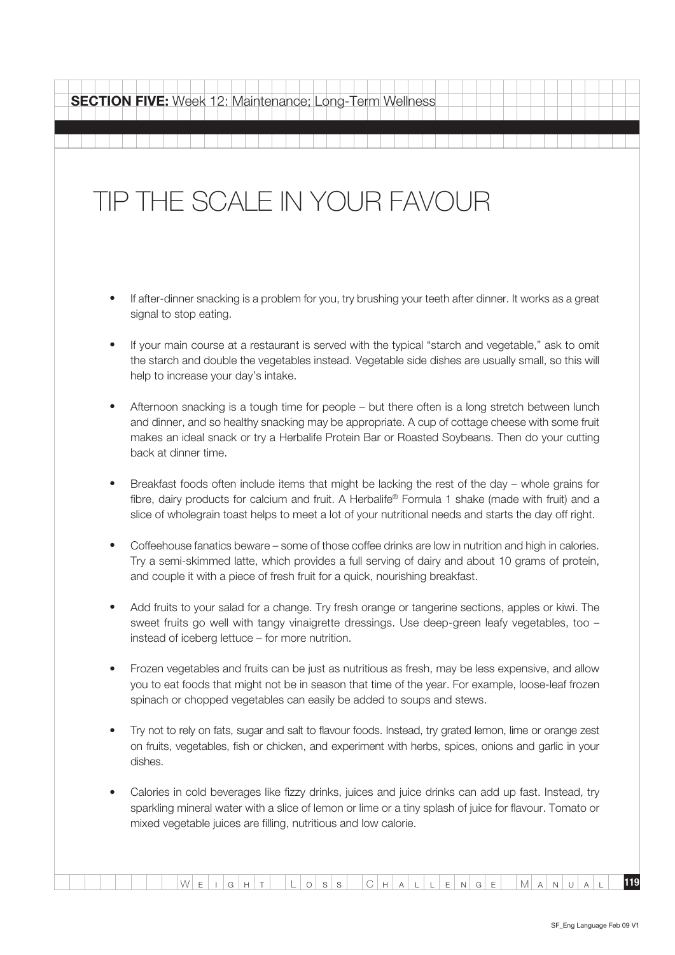## TIP THE SCALE IN YOUR FAVOUR

- If after-dinner snacking is a problem for you, try brushing your teeth after dinner. It works as a great signal to stop eating.
- If your main course at a restaurant is served with the typical "starch and vegetable," ask to omit the starch and double the vegetables instead. Vegetable side dishes are usually small, so this will help to increase your day's intake.
- Afternoon snacking is a tough time for people but there often is a long stretch between lunch and dinner, and so healthy snacking may be appropriate. A cup of cottage cheese with some fruit makes an ideal snack or try a Herbalife Protein Bar or Roasted Soybeans. Then do your cutting back at dinner time.
- Breakfast foods often include items that might be lacking the rest of the day whole grains for fibre, dairy products for calcium and fruit. A Herbalife® Formula 1 shake (made with fruit) and a slice of wholegrain toast helps to meet a lot of your nutritional needs and starts the day off right.
- Coffeehouse fanatics beware some of those coffee drinks are low in nutrition and high in calories. Try a semi-skimmed latte, which provides a full serving of dairy and about 10 grams of protein, and couple it with a piece of fresh fruit for a quick, nourishing breakfast.
- Add fruits to your salad for a change. Try fresh orange or tangerine sections, apples or kiwi. The sweet fruits go well with tangy vinaigrette dressings. Use deep-green leafy vegetables, too – instead of iceberg lettuce – for more nutrition.
- Frozen vegetables and fruits can be just as nutritious as fresh, may be less expensive, and allow you to eat foods that might not be in season that time of the year. For example, loose-leaf frozen spinach or chopped vegetables can easily be added to soups and stews.
- Try not to rely on fats, sugar and salt to flavour foods. Instead, try grated lemon, lime or orange zest on fruits, vegetables, fish or chicken, and experiment with herbs, spices, onions and garlic in your dishes.
- Calories in cold beverages like fizzy drinks, juices and juice drinks can add up fast. Instead, try sparkling mineral water with a slice of lemon or lime or a tiny splash of juice for flavour. Tomato or mixed vegetable juices are filling, nutritious and low calorie.

W <sup>e</sup> <sup>i</sup> <sup>g</sup> <sup>h</sup> <sup>t</sup> L <sup>o</sup> <sup>s</sup> <sup>s</sup> C h a l l e n g <sup>e</sup> M a n u a <sup>l</sup> **119**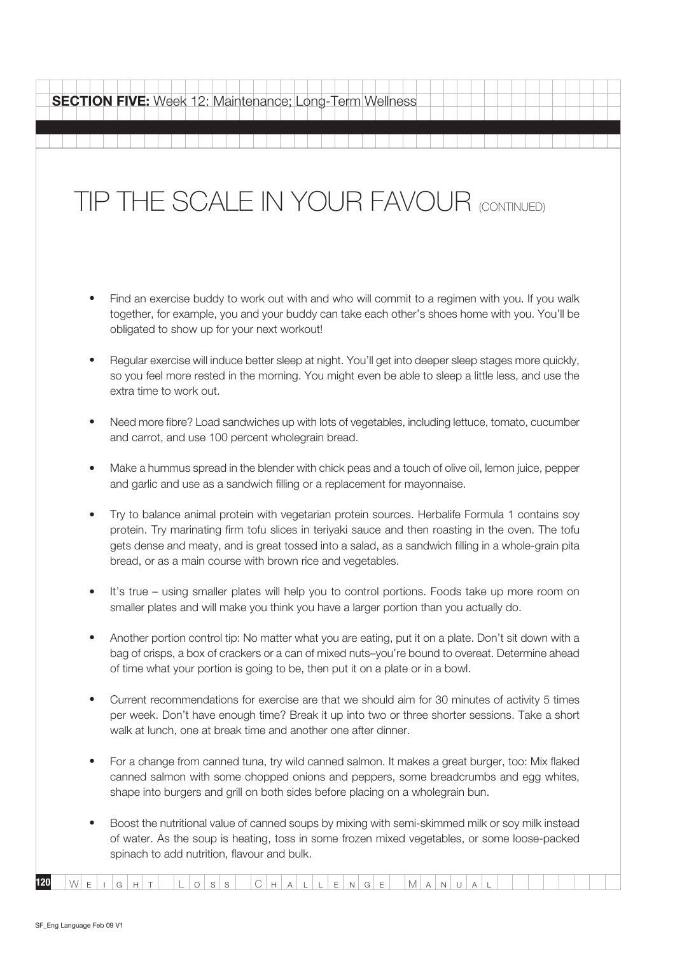# TIP THE SCALE IN YOUR FAVOUR (continued)

- Find an exercise buddy to work out with and who will commit to a regimen with you. If you walk together, for example, you and your buddy can take each other's shoes home with you. You'll be obligated to show up for your next workout!
- Regular exercise will induce better sleep at night. You'll get into deeper sleep stages more quickly, so you feel more rested in the morning. You might even be able to sleep a little less, and use the extra time to work out.
- Need more fibre? Load sandwiches up with lots of vegetables, including lettuce, tomato, cucumber and carrot, and use 100 percent wholegrain bread.
- Make a hummus spread in the blender with chick peas and a touch of olive oil, lemon juice, pepper and garlic and use as a sandwich filling or a replacement for mayonnaise.
- Try to balance animal protein with vegetarian protein sources. Herbalife Formula 1 contains soy protein. Try marinating firm tofu slices in teriyaki sauce and then roasting in the oven. The tofu gets dense and meaty, and is great tossed into a salad, as a sandwich filling in a whole-grain pita bread, or as a main course with brown rice and vegetables.
- It's true using smaller plates will help you to control portions. Foods take up more room on smaller plates and will make you think you have a larger portion than you actually do.
- Another portion control tip: No matter what you are eating, put it on a plate. Don't sit down with a bag of crisps, a box of crackers or a can of mixed nuts–you're bound to overeat. Determine ahead of time what your portion is going to be, then put it on a plate or in a bowl.
- Current recommendations for exercise are that we should aim for 30 minutes of activity 5 times per week. Don't have enough time? Break it up into two or three shorter sessions. Take a short walk at lunch, one at break time and another one after dinner.
- For a change from canned tuna, try wild canned salmon. It makes a great burger, too: Mix flaked canned salmon with some chopped onions and peppers, some breadcrumbs and egg whites, shape into burgers and grill on both sides before placing on a wholegrain bun.
- Boost the nutritional value of canned soups by mixing with semi-skimmed milk or soy milk instead of water. As the soup is heating, toss in some frozen mixed vegetables, or some loose-packed spinach to add nutrition, flavour and bulk.

**120** W <sup>e</sup> i g <sup>h</sup> <sup>t</sup> L <sup>o</sup> <sup>s</sup> <sup>s</sup> C h a l l e n g <sup>e</sup> M a n u a <sup>l</sup>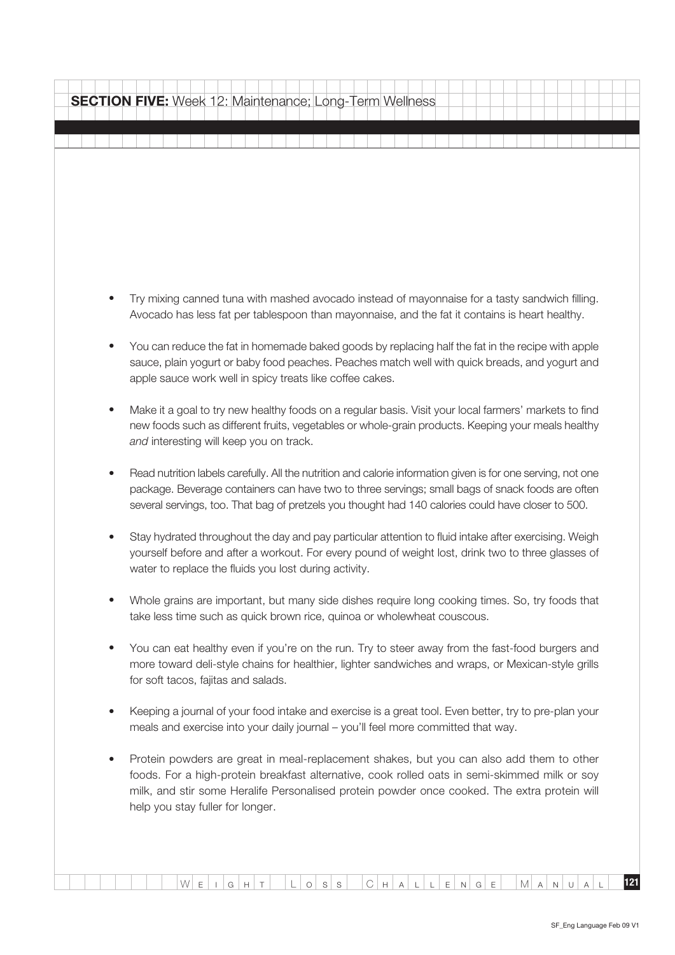Try mixing canned tuna with mashed avocado instead of mayonnaise for a tasty sandwich filling. Avocado has less fat per tablespoon than mayonnaise, and the fat it contains is heart healthy. You can reduce the fat in homemade baked goods by replacing half the fat in the recipe with apple sauce, plain yogurt or baby food peaches. Peaches match well with quick breads, and yogurt and apple sauce work well in spicy treats like coffee cakes. Make it a goal to try new healthy foods on a regular basis. Visit your local farmers' markets to find new foods such as different fruits, vegetables or whole-grain products. Keeping your meals healthy and interesting will keep you on track. Read nutrition labels carefully. All the nutrition and calorie information given is for one serving, not one package. Beverage containers can have two to three servings; small bags of snack foods are often several servings, too. That bag of pretzels you thought had 140 calories could have closer to 500. Stay hydrated throughout the day and pay particular attention to fluid intake after exercising. Weigh yourself before and after a workout. For every pound of weight lost, drink two to three glasses of water to replace the fluids you lost during activity. Whole grains are important, but many side dishes require long cooking times. So, try foods that take less time such as quick brown rice, quinoa or wholewheat couscous. You can eat healthy even if you're on the run. Try to steer away from the fast-food burgers and more toward deli-style chains for healthier, lighter sandwiches and wraps, or Mexican-style grills for soft tacos, fajitas and salads. Keeping a journal of your food intake and exercise is a great tool. Even better, try to pre-plan your meals and exercise into your daily journal – you'll feel more committed that way. Protein powders are great in meal-replacement shakes, but you can also add them to other foods. For a high-protein breakfast alternative, cook rolled oats in semi-skimmed milk or soy milk, and stir some Heralife Personalised protein powder once cooked. The extra protein will help you stay fuller for longer. **SECTION FIVE:** Week 12: Maintenance; Long-Term Wellness

 $W$  e i g h t L o s s C h a l l e N g e M a N u a l **121**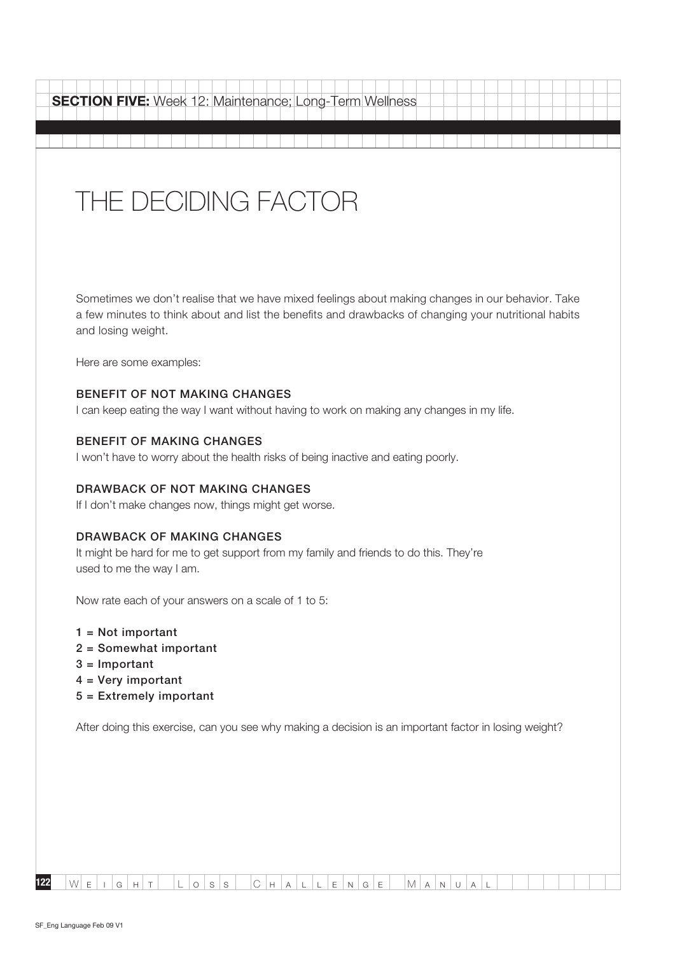| <b>SECTION FIVE:</b> Week 12: Maintenance; Long-Term Wellness                                                                                                                                                                   |
|---------------------------------------------------------------------------------------------------------------------------------------------------------------------------------------------------------------------------------|
|                                                                                                                                                                                                                                 |
| THE DECIDING FACTOR                                                                                                                                                                                                             |
| Sometimes we don't realise that we have mixed feelings about making changes in our behavior. Take<br>a few minutes to think about and list the benefits and drawbacks of changing your nutritional habits<br>and losing weight. |
| Here are some examples:                                                                                                                                                                                                         |
| <b>BENEFIT OF NOT MAKING CHANGES</b><br>I can keep eating the way I want without having to work on making any changes in my life.                                                                                               |
| <b>BENEFIT OF MAKING CHANGES</b><br>I won't have to worry about the health risks of being inactive and eating poorly.                                                                                                           |
| DRAWBACK OF NOT MAKING CHANGES<br>If I don't make changes now, things might get worse.                                                                                                                                          |
| <b>DRAWBACK OF MAKING CHANGES</b><br>It might be hard for me to get support from my family and friends to do this. They're<br>used to me the way I am.                                                                          |
| Now rate each of your answers on a scale of 1 to 5:                                                                                                                                                                             |
| $1 = Not important$<br>2 = Somewhat important<br>$3 =$ Important<br>$4 = Very important$<br>$5 =$ Extremely important                                                                                                           |
| After doing this exercise, can you see why making a decision is an important factor in losing weight?                                                                                                                           |
|                                                                                                                                                                                                                                 |
|                                                                                                                                                                                                                                 |
|                                                                                                                                                                                                                                 |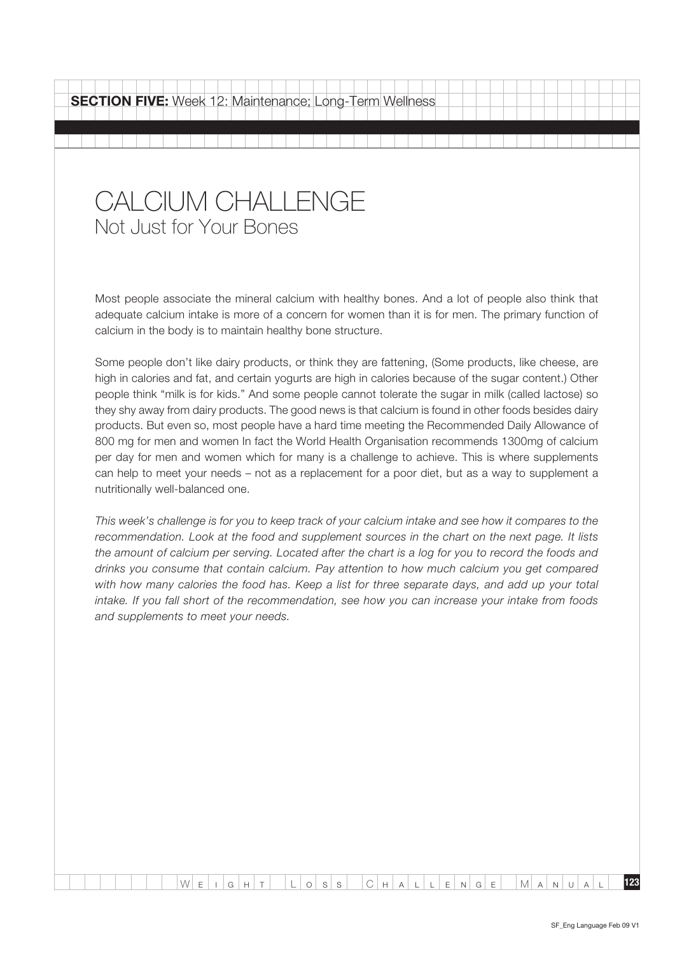### Calcium Challenge Not Just for Your Bones

Most people associate the mineral calcium with healthy bones. And a lot of people also think that adequate calcium intake is more of a concern for women than it is for men. The primary function of calcium in the body is to maintain healthy bone structure.

Some people don't like dairy products, or think they are fattening, (Some products, like cheese, are high in calories and fat, and certain yogurts are high in calories because of the sugar content.) Other people think "milk is for kids." And some people cannot tolerate the sugar in milk (called lactose) so they shy away from dairy products. The good news is that calcium is found in other foods besides dairy products. But even so, most people have a hard time meeting the Recommended Daily Allowance of 800 mg for men and women In fact the World Health Organisation recommends 1300mg of calcium per day for men and women which for many is a challenge to achieve. This is where supplements can help to meet your needs – not as a replacement for a poor diet, but as a way to supplement a nutritionally well-balanced one.

This week's challenge is for you to keep track of your calcium intake and see how it compares to the recommendation. Look at the food and supplement sources in the chart on the next page. It lists the amount of calcium per serving. Located after the chart is a log for you to record the foods and drinks you consume that contain calcium. Pay attention to how much calcium you get compared with how many calories the food has. Keep a list for three separate days, and add up your total intake. If you fall short of the recommendation, see how you can increase your intake from foods and supplements to meet your needs.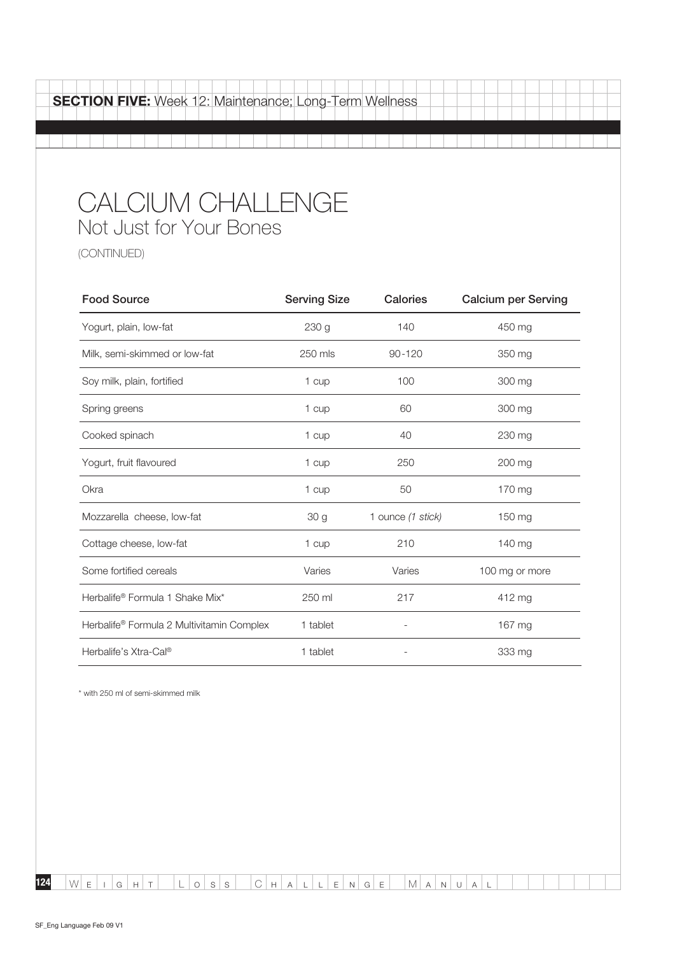| SECTION FIVE: Week 12: Maintenance; Long-Term Wellness |  |  |  |  |  |  |  |  |  |  |  |
|--------------------------------------------------------|--|--|--|--|--|--|--|--|--|--|--|
|                                                        |  |  |  |  |  |  |  |  |  |  |  |
|                                                        |  |  |  |  |  |  |  |  |  |  |  |
| CALCIUM CHALLENGE<br>Not Just for Your Bones           |  |  |  |  |  |  |  |  |  |  |  |

(continued)

| <b>Food Source</b>                                    | <b>Serving Size</b> | Calories          | <b>Calcium per Serving</b> |
|-------------------------------------------------------|---------------------|-------------------|----------------------------|
| Yogurt, plain, low-fat                                | 230 <sub>g</sub>    | 140               | 450 mg                     |
| Milk, semi-skimmed or low-fat                         | 250 mls             | $90 - 120$        | 350 mg                     |
| Soy milk, plain, fortified                            | 1 cup               | 100               | 300 mg                     |
| Spring greens                                         | 1 cup               | 60                | 300 mg                     |
| Cooked spinach                                        | 1 cup               | 40                | 230 mg                     |
| Yogurt, fruit flavoured                               | 1 cup               | 250               | 200 mg                     |
| Okra                                                  | 1 cup               | 50                | 170 mg                     |
| Mozzarella cheese, low-fat                            | 30 <sub>g</sub>     | 1 ounce (1 stick) | 150 mg                     |
| Cottage cheese, low-fat                               | 1 cup               | 210               | 140 mg                     |
| Some fortified cereals                                | Varies              | Varies            | 100 mg or more             |
| Herbalife® Formula 1 Shake Mix*                       | 250 ml              | 217               | 412 mg                     |
| Herbalife <sup>®</sup> Formula 2 Multivitamin Complex | 1 tablet            |                   | 167 mg                     |
| Herbalife's Xtra-Cal®                                 | 1 tablet            |                   | 333 mg                     |

\* with 250 ml of semi-skimmed milk

 $W E I G H T L O S S C H A L L E N G E M A N U A L$ 

**124**